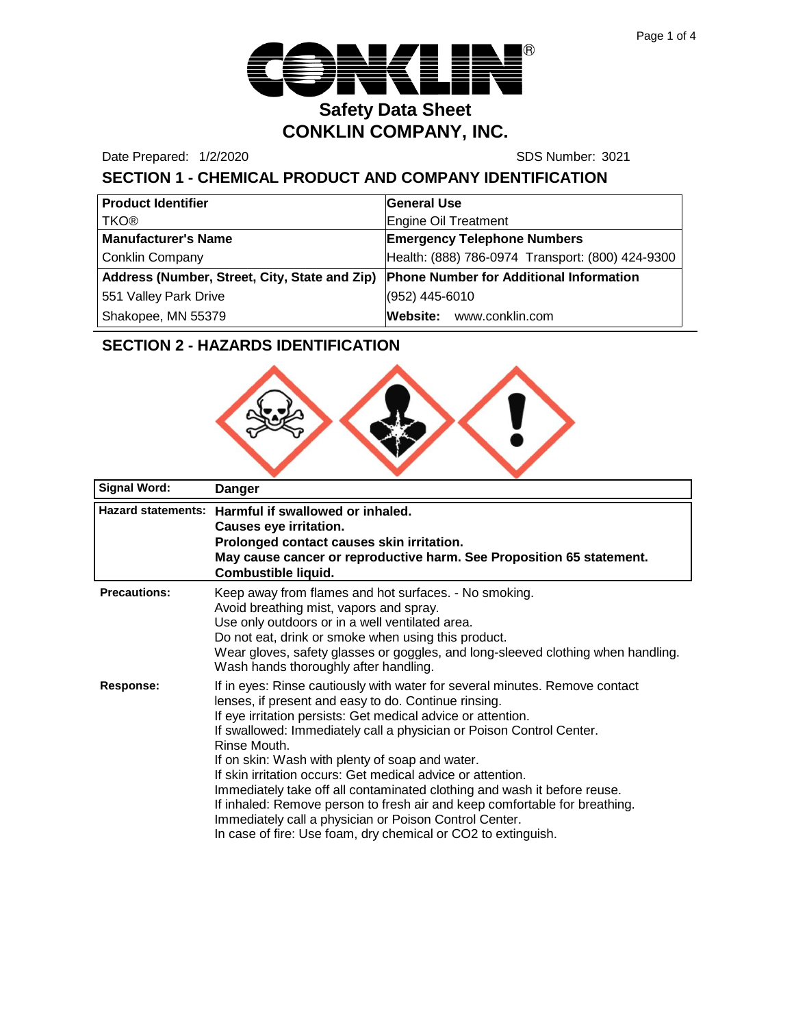

Date Prepared: 1/2/2020 SDS Number: 3021

# **SECTION 1 - CHEMICAL PRODUCT AND COMPANY IDENTIFICATION**

| <b>Product Identifier</b>                     | <b>General Use</b>                               |  |
|-----------------------------------------------|--------------------------------------------------|--|
| <b>TKO®</b>                                   | Engine Oil Treatment                             |  |
| <b>Manufacturer's Name</b>                    | <b>Emergency Telephone Numbers</b>               |  |
| <b>Conklin Company</b>                        | Health: (888) 786-0974 Transport: (800) 424-9300 |  |
| Address (Number, Street, City, State and Zip) | <b>Phone Number for Additional Information</b>   |  |
| 551 Valley Park Drive                         | (952) 445-6010                                   |  |
| Shakopee, MN 55379                            | Website: www.conklin.com                         |  |

# **SECTION 2 - HAZARDS IDENTIFICATION**



| <b>Signal Word:</b> | Danger                                                                                                                                                                                                                                                                                                                                                                                                                                                                                                                                                                                                                                                                                             |
|---------------------|----------------------------------------------------------------------------------------------------------------------------------------------------------------------------------------------------------------------------------------------------------------------------------------------------------------------------------------------------------------------------------------------------------------------------------------------------------------------------------------------------------------------------------------------------------------------------------------------------------------------------------------------------------------------------------------------------|
|                     | Hazard statements: Harmful if swallowed or inhaled.<br>Causes eye irritation.<br>Prolonged contact causes skin irritation.<br>May cause cancer or reproductive harm. See Proposition 65 statement.<br>Combustible liquid.                                                                                                                                                                                                                                                                                                                                                                                                                                                                          |
| <b>Precautions:</b> | Keep away from flames and hot surfaces. - No smoking.<br>Avoid breathing mist, vapors and spray.<br>Use only outdoors or in a well ventilated area.<br>Do not eat, drink or smoke when using this product.<br>Wear gloves, safety glasses or goggles, and long-sleeved clothing when handling.<br>Wash hands thoroughly after handling.                                                                                                                                                                                                                                                                                                                                                            |
| <b>Response:</b>    | If in eyes: Rinse cautiously with water for several minutes. Remove contact<br>lenses, if present and easy to do. Continue rinsing.<br>If eye irritation persists: Get medical advice or attention.<br>If swallowed: Immediately call a physician or Poison Control Center.<br>Rinse Mouth.<br>If on skin: Wash with plenty of soap and water.<br>If skin irritation occurs: Get medical advice or attention.<br>Immediately take off all contaminated clothing and wash it before reuse.<br>If inhaled: Remove person to fresh air and keep comfortable for breathing.<br>Immediately call a physician or Poison Control Center.<br>In case of fire: Use foam, dry chemical or CO2 to extinguish. |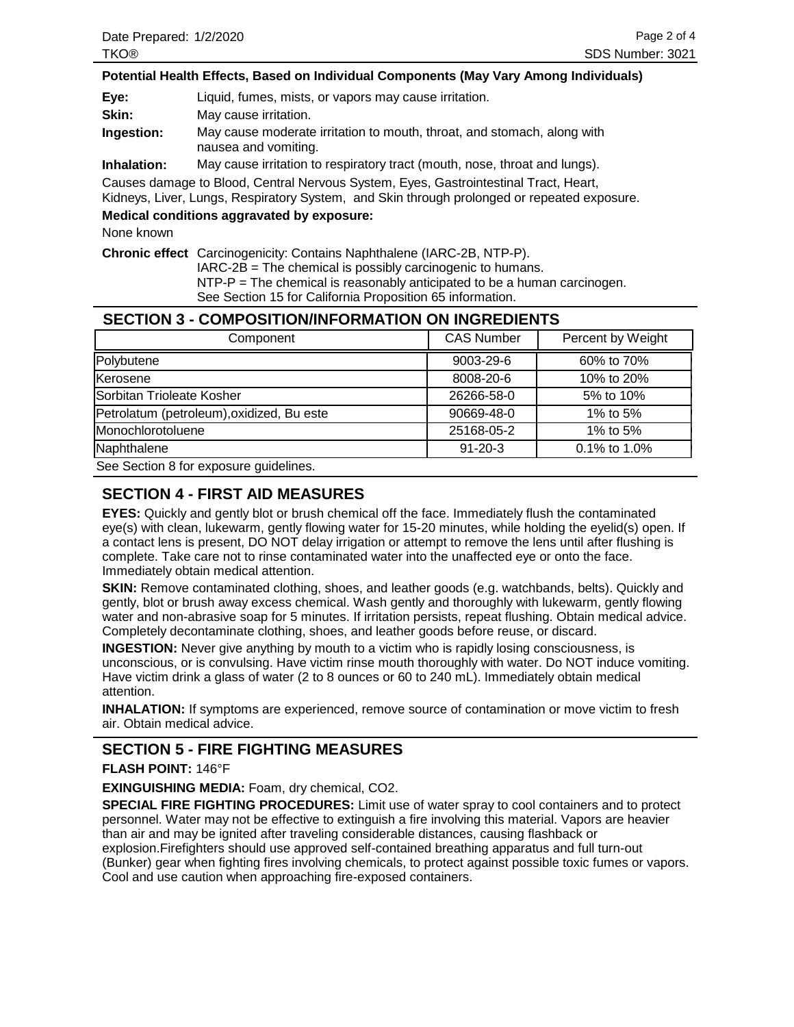#### **Potential Health Effects, Based on Individual Components (May Vary Among Individuals)**

**Eye:** Liquid, fumes, mists, or vapors may cause irritation.

**Ingestion:** May cause moderate irritation to mouth, throat, and stomach, along with nausea and vomiting.

**Inhalation:** May cause irritation to respiratory tract (mouth, nose, throat and lungs).

Causes damage to Blood, Central Nervous System, Eyes, Gastrointestinal Tract, Heart,

Kidneys, Liver, Lungs, Respiratory System, and Skin through prolonged or repeated exposure.

#### **Medical conditions aggravated by exposure:**

None known

**Chronic effect** Carcinogenicity: Contains Naphthalene (IARC-2B, NTP-P).

IARC-2B = The chemical is possibly carcinogenic to humans.

 $NTP-P = The chemical is reasonably anticipated to be a human carcinoma.$ 

See Section 15 for California Proposition 65 information.

#### **SECTION 3 - COMPOSITION/INFORMATION ON INGREDIENTS**

| Component                                   | <b>CAS Number</b> | Percent by Weight |
|---------------------------------------------|-------------------|-------------------|
| Polybutene                                  | $9003 - 29 - 6$   | 60% to 70%        |
| Kerosene                                    | 8008-20-6         | 10% to 20%        |
| Sorbitan Trioleate Kosher                   | 26266-58-0        | 5% to 10%         |
| Petrolatum (petroleum), oxidized, Bu este   | 90669-48-0        | 1% to $5%$        |
| Monochlorotoluene                           | 25168-05-2        | 1% to $5%$        |
| Naphthalene                                 | $91 - 20 - 3$     | 0.1% to 1.0%      |
| One Oration Office association and delivery |                   |                   |

See Section 8 for exposure guidelines.

### **SECTION 4 - FIRST AID MEASURES**

**EYES:** Quickly and gently blot or brush chemical off the face. Immediately flush the contaminated eye(s) with clean, lukewarm, gently flowing water for 15-20 minutes, while holding the eyelid(s) open. If a contact lens is present, DO NOT delay irrigation or attempt to remove the lens until after flushing is complete. Take care not to rinse contaminated water into the unaffected eye or onto the face. Immediately obtain medical attention.

**SKIN:** Remove contaminated clothing, shoes, and leather goods (e.g. watchbands, belts). Quickly and gently, blot or brush away excess chemical. Wash gently and thoroughly with lukewarm, gently flowing water and non-abrasive soap for 5 minutes. If irritation persists, repeat flushing. Obtain medical advice. Completely decontaminate clothing, shoes, and leather goods before reuse, or discard.

**INGESTION:** Never give anything by mouth to a victim who is rapidly losing consciousness, is unconscious, or is convulsing. Have victim rinse mouth thoroughly with water. Do NOT induce vomiting. Have victim drink a glass of water (2 to 8 ounces or 60 to 240 mL). Immediately obtain medical attention.

**INHALATION:** If symptoms are experienced, remove source of contamination or move victim to fresh air. Obtain medical advice.

### **SECTION 5 - FIRE FIGHTING MEASURES**

#### **FLASH POINT:** 146°F

**EXINGUISHING MEDIA:** Foam, dry chemical, CO2.

**SPECIAL FIRE FIGHTING PROCEDURES:** Limit use of water spray to cool containers and to protect personnel. Water may not be effective to extinguish a fire involving this material. Vapors are heavier than air and may be ignited after traveling considerable distances, causing flashback or explosion.Firefighters should use approved self-contained breathing apparatus and full turn-out (Bunker) gear when fighting fires involving chemicals, to protect against possible toxic fumes or vapors. Cool and use caution when approaching fire-exposed containers.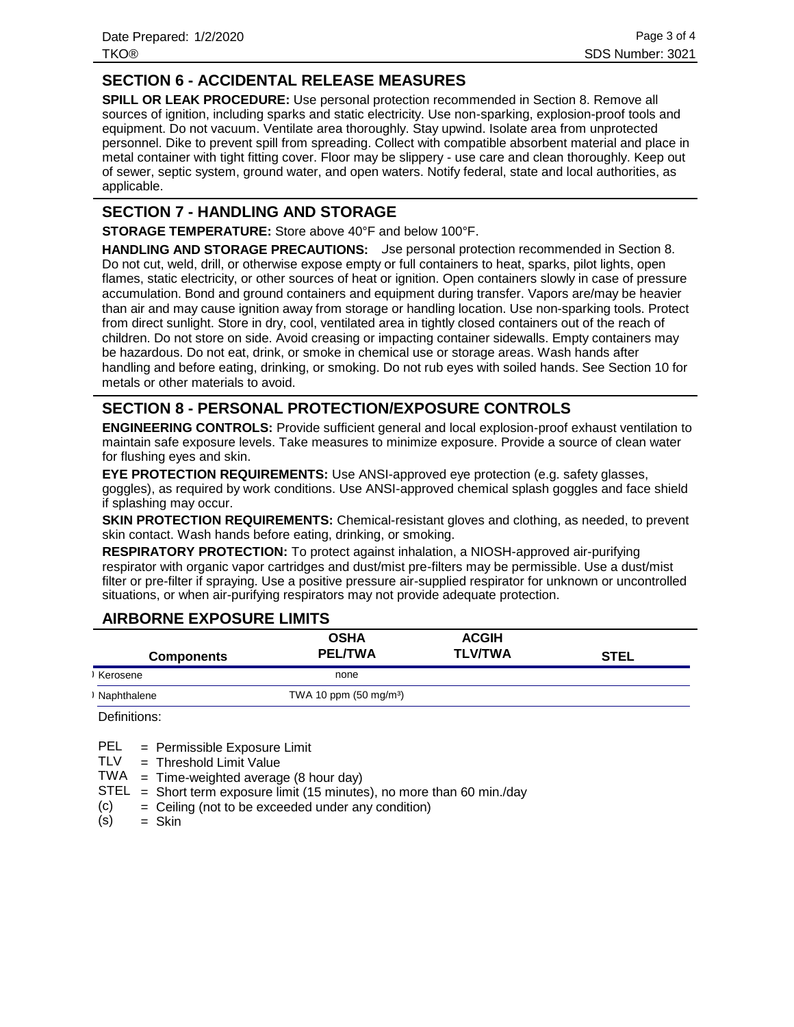Date Prepared: 1/2/2020 TKO® SDS Number: 3021

## **SECTION 6 - ACCIDENTAL RELEASE MEASURES**

**SPILL OR LEAK PROCEDURE:** Use personal protection recommended in Section 8. Remove all sources of ignition, including sparks and static electricity. Use non-sparking, explosion-proof tools and equipment. Do not vacuum. Ventilate area thoroughly. Stay upwind. Isolate area from unprotected personnel. Dike to prevent spill from spreading. Collect with compatible absorbent material and place in metal container with tight fitting cover. Floor may be slippery - use care and clean thoroughly. Keep out of sewer, septic system, ground water, and open waters. Notify federal, state and local authorities, as applicable.

#### **SECTION 7 - HANDLING AND STORAGE**

**STORAGE TEMPERATURE:** Store above 40°F and below 100°F.

**HANDLING AND STORAGE PRECAUTIONS:** Use personal protection recommended in Section 8. Do not cut, weld, drill, or otherwise expose empty or full containers to heat, sparks, pilot lights, open flames, static electricity, or other sources of heat or ignition. Open containers slowly in case of pressure accumulation. Bond and ground containers and equipment during transfer. Vapors are/may be heavier than air and may cause ignition away from storage or handling location. Use non-sparking tools. Protect from direct sunlight. Store in dry, cool, ventilated area in tightly closed containers out of the reach of children. Do not store on side. Avoid creasing or impacting container sidewalls. Empty containers may be hazardous. Do not eat, drink, or smoke in chemical use or storage areas. Wash hands after handling and before eating, drinking, or smoking. Do not rub eyes with soiled hands. See Section 10 for metals or other materials to avoid.

## **SECTION 8 - PERSONAL PROTECTION/EXPOSURE CONTROLS**

**ENGINEERING CONTROLS:** Provide sufficient general and local explosion-proof exhaust ventilation to maintain safe exposure levels. Take measures to minimize exposure. Provide a source of clean water for flushing eyes and skin.

**EYE PROTECTION REQUIREMENTS:** Use ANSI-approved eye protection (e.g. safety glasses, goggles), as required by work conditions. Use ANSI-approved chemical splash goggles and face shield if splashing may occur.

**SKIN PROTECTION REQUIREMENTS:** Chemical-resistant gloves and clothing, as needed, to prevent skin contact. Wash hands before eating, drinking, or smoking.

**RESPIRATORY PROTECTION:** To protect against inhalation, a NIOSH-approved air-purifying respirator with organic vapor cartridges and dust/mist pre-filters may be permissible. Use a dust/mist filter or pre-filter if spraying. Use a positive pressure air-supplied respirator for unknown or uncontrolled situations, or when air-purifying respirators may not provide adequate protection.

#### **AIRBORNE EXPOSURE LIMITS**

| <b>Components</b> | <b>OSHA</b><br><b>PEL/TWA</b>    | <b>ACGIH</b><br><b>TLV/TWA</b> | <b>STEL</b> |
|-------------------|----------------------------------|--------------------------------|-------------|
| Kerosene          | none                             |                                |             |
| Naphthalene       | TWA 10 ppm $(50 \text{ mg/m}^3)$ |                                |             |

Definitions:

= Permissible Exposure Limit PEL

Threshold Limit Value = TLV

 $TWA = Time-weighted average (8 hour day)$ 

 $STEL = Short term exposure limit (15 minutes), no more than 60 min/day$ 

Ceiling (not to be exceeded under any condition) = (c)

Skin = (s)